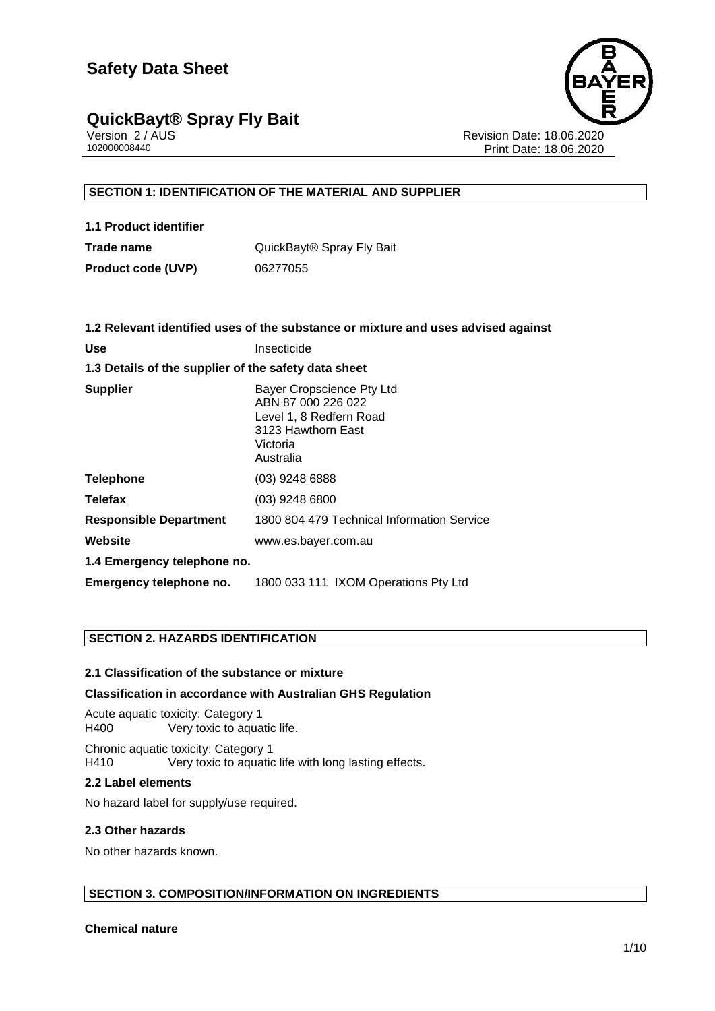

Version 2 / AUS Revision Date: 18.06.2020 Print Date: 18.06.2020

#### **SECTION 1: IDENTIFICATION OF THE MATERIAL AND SUPPLIER**

| 1.1 Product identifier    |                                       |
|---------------------------|---------------------------------------|
| Trade name                | QuickBayt <sup>®</sup> Spray Fly Bait |
| <b>Product code (UVP)</b> | 06277055                              |

|                                                      | 1.2 Relevant identified uses of the substance or mixture and uses advised against                                         |
|------------------------------------------------------|---------------------------------------------------------------------------------------------------------------------------|
| <b>Use</b>                                           | Insecticide                                                                                                               |
| 1.3 Details of the supplier of the safety data sheet |                                                                                                                           |
| <b>Supplier</b>                                      | Bayer Cropscience Pty Ltd<br>ABN 87 000 226 022<br>Level 1, 8 Redfern Road<br>3123 Hawthorn East<br>Victoria<br>Australia |
| <b>Telephone</b>                                     | $(03)$ 9248 6888                                                                                                          |
| <b>Telefax</b>                                       | (03) 9248 6800                                                                                                            |
| <b>Responsible Department</b>                        | 1800 804 479 Technical Information Service                                                                                |
| Website                                              | www.es.bayer.com.au                                                                                                       |
| 1.4 Emergency telephone no.                          |                                                                                                                           |
| Emergency telephone no.                              | 1800 033 111 IXOM Operations Pty Ltd                                                                                      |
|                                                      |                                                                                                                           |

#### **SECTION 2. HAZARDS IDENTIFICATION**

#### **2.1 Classification of the substance or mixture**

#### **Classification in accordance with Australian GHS Regulation**

Acute aquatic toxicity: Category 1 H400 Very toxic to aquatic life.

Chronic aquatic toxicity: Category 1 H410 Very toxic to aquatic life with long lasting effects.

#### **2.2 Label elements**

No hazard label for supply/use required.

#### **2.3 Other hazards**

No other hazards known.

#### **SECTION 3. COMPOSITION/INFORMATION ON INGREDIENTS**

**Chemical nature**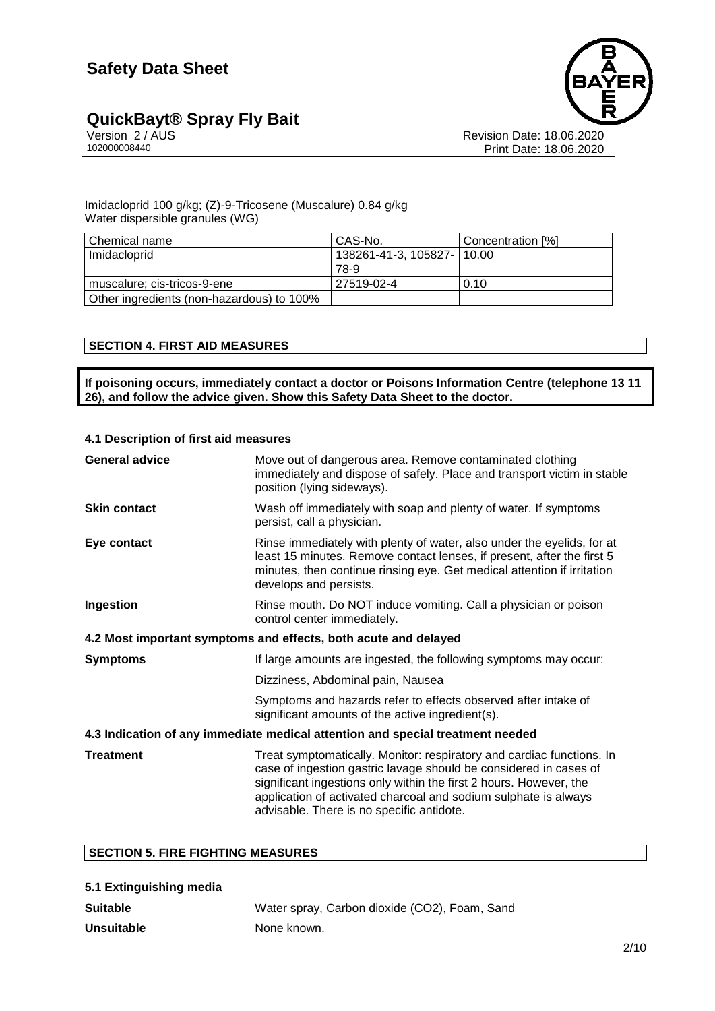

Version 2 / AUS Revision Date: 18.06.2020 Print Date: 18.06.2020

#### Imidacloprid 100 g/kg; (Z)-9-Tricosene (Muscalure) 0.84 g/kg Water dispersible granules (WG)

| l Chemical name                           | CAS-No.                      | Concentration [%] |
|-------------------------------------------|------------------------------|-------------------|
| Imidacloprid                              | 138261-41-3, 105827-   10.00 |                   |
|                                           | 78-9                         |                   |
| muscalure; cis-tricos-9-ene               | 27519-02-4                   | 0.10              |
| Other ingredients (non-hazardous) to 100% |                              |                   |

#### **SECTION 4. FIRST AID MEASURES**

**If poisoning occurs, immediately contact a doctor or Poisons Information Centre (telephone 13 11 26), and follow the advice given. Show this Safety Data Sheet to the doctor.**

#### **4.1 Description of first aid measures**

| <b>General advice</b>                                                          | Move out of dangerous area. Remove contaminated clothing<br>immediately and dispose of safely. Place and transport victim in stable<br>position (lying sideways).                                                                                                                                                                |  |
|--------------------------------------------------------------------------------|----------------------------------------------------------------------------------------------------------------------------------------------------------------------------------------------------------------------------------------------------------------------------------------------------------------------------------|--|
| <b>Skin contact</b>                                                            | Wash off immediately with soap and plenty of water. If symptoms<br>persist, call a physician.                                                                                                                                                                                                                                    |  |
| Eye contact                                                                    | Rinse immediately with plenty of water, also under the eyelids, for at<br>least 15 minutes. Remove contact lenses, if present, after the first 5<br>minutes, then continue rinsing eye. Get medical attention if irritation<br>develops and persists.                                                                            |  |
| Ingestion                                                                      | Rinse mouth. Do NOT induce vomiting. Call a physician or poison<br>control center immediately.                                                                                                                                                                                                                                   |  |
| 4.2 Most important symptoms and effects, both acute and delayed                |                                                                                                                                                                                                                                                                                                                                  |  |
| <b>Symptoms</b>                                                                | If large amounts are ingested, the following symptoms may occur:                                                                                                                                                                                                                                                                 |  |
|                                                                                | Dizziness, Abdominal pain, Nausea                                                                                                                                                                                                                                                                                                |  |
|                                                                                | Symptoms and hazards refer to effects observed after intake of<br>significant amounts of the active ingredient(s).                                                                                                                                                                                                               |  |
| 4.3 Indication of any immediate medical attention and special treatment needed |                                                                                                                                                                                                                                                                                                                                  |  |
| <b>Treatment</b>                                                               | Treat symptomatically. Monitor: respiratory and cardiac functions. In<br>case of ingestion gastric lavage should be considered in cases of<br>significant ingestions only within the first 2 hours. However, the<br>application of activated charcoal and sodium sulphate is always<br>advisable. There is no specific antidote. |  |

#### **SECTION 5. FIRE FIGHTING MEASURES**

| 5.1 Extinguishing media |                                               |
|-------------------------|-----------------------------------------------|
| <b>Suitable</b>         | Water spray, Carbon dioxide (CO2), Foam, Sand |
| <b>Unsuitable</b>       | None known.                                   |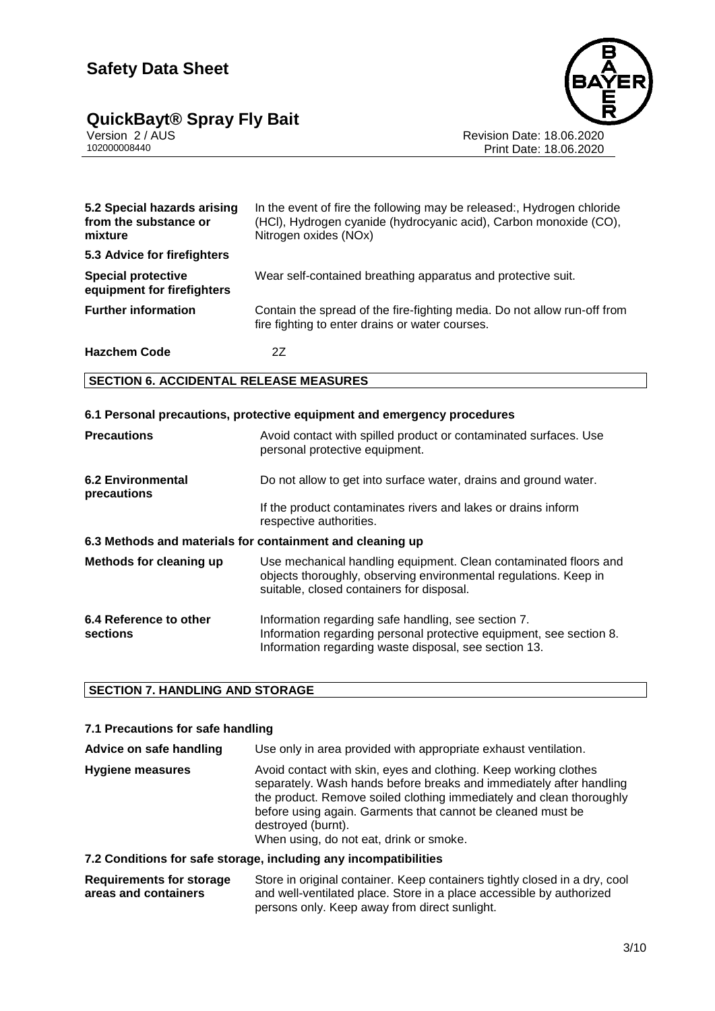## **QuickBayt® Spray Fly Bait 3/10**



Version 2 / AUS Revision Date: 18.06.2020 102000008440 Print Date: 18.06.2020

| 5.2 Special hazards arising<br>from the substance or<br>mixture | In the event of fire the following may be released:, Hydrogen chloride<br>(HCI), Hydrogen cyanide (hydrocyanic acid), Carbon monoxide (CO),<br>Nitrogen oxides (NOx) |
|-----------------------------------------------------------------|----------------------------------------------------------------------------------------------------------------------------------------------------------------------|
| 5.3 Advice for firefighters                                     |                                                                                                                                                                      |
| <b>Special protective</b><br>equipment for firefighters         | Wear self-contained breathing apparatus and protective suit.                                                                                                         |
| <b>Further information</b>                                      | Contain the spread of the fire-fighting media. Do not allow run-off from<br>fire fighting to enter drains or water courses.                                          |
| <b>Hazchem Code</b>                                             | 2Ζ                                                                                                                                                                   |

#### **SECTION 6. ACCIDENTAL RELEASE MEASURES**

|                                                           | 6.1 Personal precautions, protective equipment and emergency procedures                                                                                                             |
|-----------------------------------------------------------|-------------------------------------------------------------------------------------------------------------------------------------------------------------------------------------|
| <b>Precautions</b>                                        | Avoid contact with spilled product or contaminated surfaces. Use<br>personal protective equipment.                                                                                  |
| <b>6.2 Environmental</b><br>precautions                   | Do not allow to get into surface water, drains and ground water.                                                                                                                    |
|                                                           | If the product contaminates rivers and lakes or drains inform<br>respective authorities.                                                                                            |
| 6.3 Methods and materials for containment and cleaning up |                                                                                                                                                                                     |
| Methods for cleaning up                                   | Use mechanical handling equipment. Clean contaminated floors and<br>objects thoroughly, observing environmental regulations. Keep in<br>suitable, closed containers for disposal.   |
| 6.4 Reference to other<br>sections                        | Information regarding safe handling, see section 7.<br>Information regarding personal protective equipment, see section 8.<br>Information regarding waste disposal, see section 13. |

#### **SECTION 7. HANDLING AND STORAGE**

#### **7.1 Precautions for safe handling**

| Advice on safe handling | Use only in area provided with appropriate exhaust ventilation.                                                                                                                                                                                                                                                                                 |
|-------------------------|-------------------------------------------------------------------------------------------------------------------------------------------------------------------------------------------------------------------------------------------------------------------------------------------------------------------------------------------------|
| <b>Hygiene measures</b> | Avoid contact with skin, eyes and clothing. Keep working clothes<br>separately. Wash hands before breaks and immediately after handling<br>the product. Remove soiled clothing immediately and clean thoroughly<br>before using again. Garments that cannot be cleaned must be<br>destroyed (burnt).<br>When using, do not eat, drink or smoke. |
|                         | 7.2 Conditions for safe storage, including any incompatibilities                                                                                                                                                                                                                                                                                |
|                         |                                                                                                                                                                                                                                                                                                                                                 |

#### **Requirements for storage areas and containers** Store in original container. Keep containers tightly closed in a dry, cool and well-ventilated place. Store in a place accessible by authorized persons only. Keep away from direct sunlight.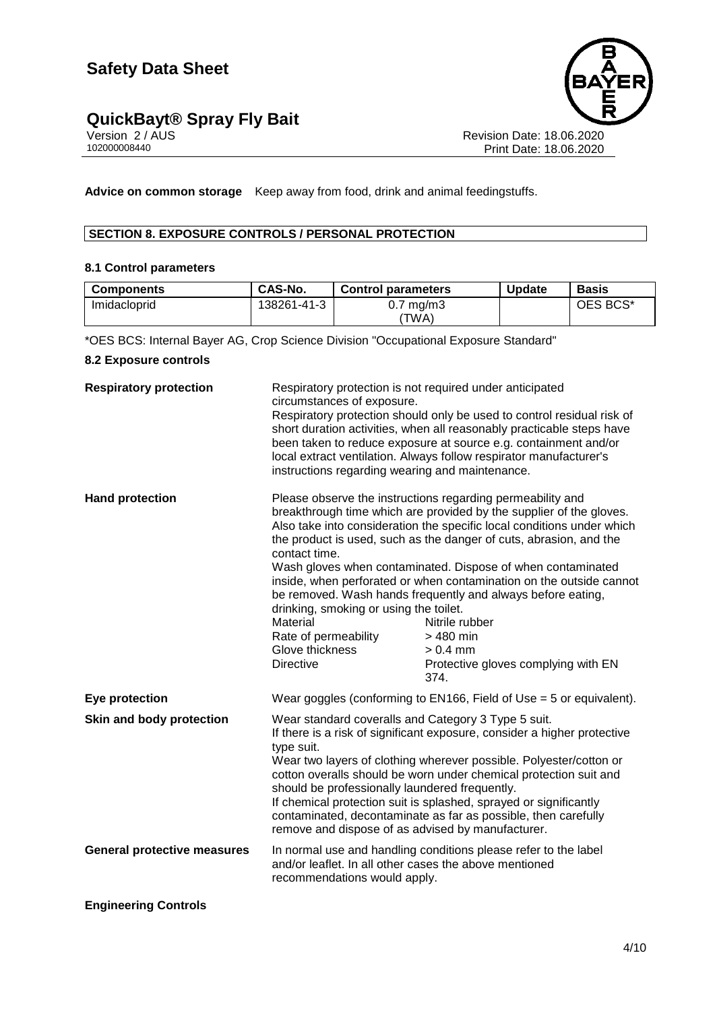## **QuickBayt® Spray Fly Bait 4/100 and 1000 and 1000 and 1000 and 1000 and 1000 and 1000 and 1000 and 1000 and 1000 and 1000 and 1000 and 1000 and 1000 and 1000 and 1000 and 1000 and 1000 and 1000 and 1000 and 1000 and 100**



Version 2 / AUS Revision Date: 18.06.2020 102000008440 Print Date: 18.06.2020

**Advice on common storage** Keep away from food, drink and animal feedingstuffs.

#### **SECTION 8. EXPOSURE CONTROLS / PERSONAL PROTECTION**

#### **8.1 Control parameters**

| <b>Components</b> | CAS-No.     | <b>Control parameters</b> | <b>Update</b> | <b>Basis</b> |
|-------------------|-------------|---------------------------|---------------|--------------|
| Imidacloprid      | 138261-41-3 | $0.7 \text{ mg/m}$ 3      |               | OES BCS*     |
|                   |             | ΈWΑ)                      |               |              |

\*OES BCS: Internal Bayer AG, Crop Science Division "Occupational Exposure Standard"

#### **8.2 Exposure controls**

| <b>Respiratory protection</b>      | Respiratory protection is not required under anticipated<br>circumstances of exposure.<br>instructions regarding wearing and maintenance.                                                                                                                                                                                                                                                                                                                                                                                              | Respiratory protection should only be used to control residual risk of<br>short duration activities, when all reasonably practicable steps have<br>been taken to reduce exposure at source e.g. containment and/or<br>local extract ventilation. Always follow respirator manufacturer's                                                                                                                                                                                                                                                                                           |
|------------------------------------|----------------------------------------------------------------------------------------------------------------------------------------------------------------------------------------------------------------------------------------------------------------------------------------------------------------------------------------------------------------------------------------------------------------------------------------------------------------------------------------------------------------------------------------|------------------------------------------------------------------------------------------------------------------------------------------------------------------------------------------------------------------------------------------------------------------------------------------------------------------------------------------------------------------------------------------------------------------------------------------------------------------------------------------------------------------------------------------------------------------------------------|
| <b>Hand protection</b>             | contact time.<br>drinking, smoking or using the toilet.<br>Material<br>Rate of permeability<br>Glove thickness<br><b>Directive</b>                                                                                                                                                                                                                                                                                                                                                                                                     | Please observe the instructions regarding permeability and<br>breakthrough time which are provided by the supplier of the gloves.<br>Also take into consideration the specific local conditions under which<br>the product is used, such as the danger of cuts, abrasion, and the<br>Wash gloves when contaminated. Dispose of when contaminated<br>inside, when perforated or when contamination on the outside cannot<br>be removed. Wash hands frequently and always before eating,<br>Nitrile rubber<br>> 480 min<br>$> 0.4$ mm<br>Protective gloves complying with EN<br>374. |
| Eye protection                     |                                                                                                                                                                                                                                                                                                                                                                                                                                                                                                                                        | Wear goggles (conforming to EN166, Field of Use $=$ 5 or equivalent).                                                                                                                                                                                                                                                                                                                                                                                                                                                                                                              |
| Skin and body protection           | Wear standard coveralls and Category 3 Type 5 suit.<br>If there is a risk of significant exposure, consider a higher protective<br>type suit.<br>Wear two layers of clothing wherever possible. Polyester/cotton or<br>cotton overalls should be worn under chemical protection suit and<br>should be professionally laundered frequently.<br>If chemical protection suit is splashed, sprayed or significantly<br>contaminated, decontaminate as far as possible, then carefully<br>remove and dispose of as advised by manufacturer. |                                                                                                                                                                                                                                                                                                                                                                                                                                                                                                                                                                                    |
| <b>General protective measures</b> | and/or leaflet. In all other cases the above mentioned<br>recommendations would apply.                                                                                                                                                                                                                                                                                                                                                                                                                                                 | In normal use and handling conditions please refer to the label                                                                                                                                                                                                                                                                                                                                                                                                                                                                                                                    |
| <b>Engineering Controls</b>        |                                                                                                                                                                                                                                                                                                                                                                                                                                                                                                                                        |                                                                                                                                                                                                                                                                                                                                                                                                                                                                                                                                                                                    |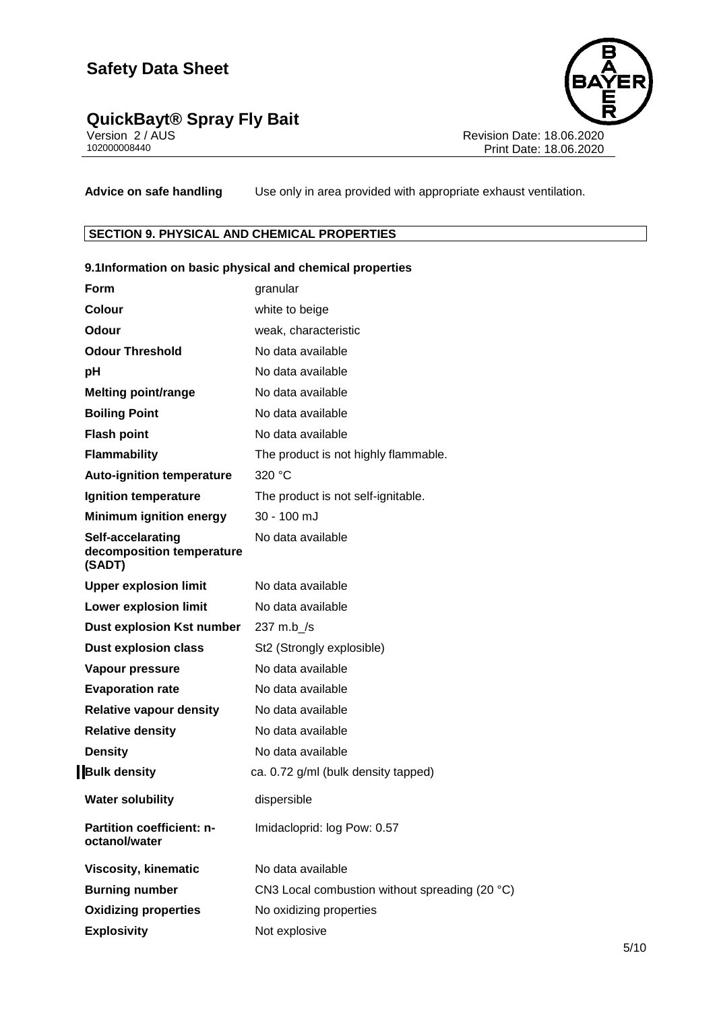## **QuickBayt® Spray Fly Bait 5/1000 10000 10000 10000 10000 10000 10000 10000 10000 10000 10000 10000 10000 10000 10000 10000 10000 10000 10000 10000 10000 10000 10000 10000 10000 1000 1000 1000 1000 1000 1000 1000 1000 10**



Version 2 / AUS Revision Date: 18.06.2020 102000008440 Print Date: 18.06.2020

**Advice on safe handling** Use only in area provided with appropriate exhaust ventilation.

#### **SECTION 9. PHYSICAL AND CHEMICAL PROPERTIES**

|                                                          | 9.1Information on basic physical and chemical properties |
|----------------------------------------------------------|----------------------------------------------------------|
| <b>Form</b>                                              | granular                                                 |
| Colour                                                   | white to beige                                           |
| Odour                                                    | weak, characteristic                                     |
| <b>Odour Threshold</b>                                   | No data available                                        |
| pH                                                       | No data available                                        |
| <b>Melting point/range</b>                               | No data available                                        |
| <b>Boiling Point</b>                                     | No data available                                        |
| <b>Flash point</b>                                       | No data available                                        |
| <b>Flammability</b>                                      | The product is not highly flammable.                     |
| <b>Auto-ignition temperature</b>                         | 320 °C                                                   |
| Ignition temperature                                     | The product is not self-ignitable.                       |
| <b>Minimum ignition energy</b>                           | 30 - 100 mJ                                              |
| Self-accelarating<br>decomposition temperature<br>(SADT) | No data available                                        |
| <b>Upper explosion limit</b>                             | No data available                                        |
| <b>Lower explosion limit</b>                             | No data available                                        |
| <b>Dust explosion Kst number</b>                         | 237 m.b_/s                                               |
| <b>Dust explosion class</b>                              | St2 (Strongly explosible)                                |
| Vapour pressure                                          | No data available                                        |
| <b>Evaporation rate</b>                                  | No data available                                        |
| <b>Relative vapour density</b>                           | No data available                                        |
| <b>Relative density</b>                                  | No data available                                        |
| <b>Density</b>                                           | No data available                                        |
| <b>Bulk density</b>                                      | ca. 0.72 g/ml (bulk density tapped)                      |
| <b>Water solubility</b>                                  | dispersible                                              |
| Partition coefficient: n-<br>octanol/water               | Imidacloprid: log Pow: 0.57                              |
| <b>Viscosity, kinematic</b>                              | No data available                                        |
| <b>Burning number</b>                                    | CN3 Local combustion without spreading (20 °C)           |
| <b>Oxidizing properties</b>                              | No oxidizing properties                                  |
| <b>Explosivity</b>                                       | Not explosive                                            |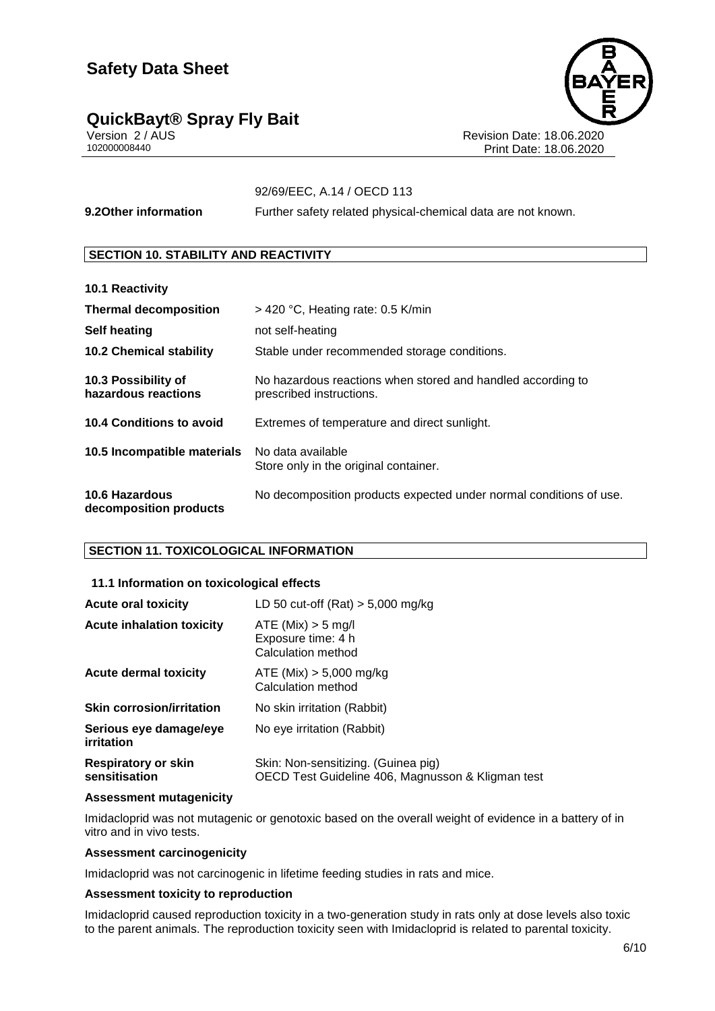### **QuickBayt® Spray Fly Bait 6/10**



Version 2 / AUS Revision Date: 18.06.2020 Print Date: 18.06.2020

### 92/69/EEC, A.14 / OECD 113

**9.2Other information** Further safety related physical-chemical data are not known.

#### **SECTION 10. STABILITY AND REACTIVITY**

| 10.1 Reactivity                                 |                                                                                         |
|-------------------------------------------------|-----------------------------------------------------------------------------------------|
| <b>Thermal decomposition</b>                    | $>$ 420 °C, Heating rate: 0.5 K/min                                                     |
| <b>Self heating</b>                             | not self-heating                                                                        |
| <b>10.2 Chemical stability</b>                  | Stable under recommended storage conditions.                                            |
| 10.3 Possibility of<br>hazardous reactions      | No hazardous reactions when stored and handled according to<br>prescribed instructions. |
| 10.4 Conditions to avoid                        | Extremes of temperature and direct sunlight.                                            |
| 10.5 Incompatible materials                     | No data available<br>Store only in the original container.                              |
| <b>10.6 Hazardous</b><br>decomposition products | No decomposition products expected under normal conditions of use.                      |

#### **SECTION 11. TOXICOLOGICAL INFORMATION**

#### **11.1 Information on toxicological effects**

| <b>Acute oral toxicity</b>                  | LD 50 cut-off $(Rat) > 5,000$ mg/kg                                                      |
|---------------------------------------------|------------------------------------------------------------------------------------------|
| <b>Acute inhalation toxicity</b>            | ATE (Mix) > 5 mg/l<br>Exposure time: 4 h<br>Calculation method                           |
| Acute dermal toxicity                       | ATE (Mix) $> 5,000$ mg/kg<br>Calculation method                                          |
| <b>Skin corrosion/irritation</b>            | No skin irritation (Rabbit)                                                              |
| Serious eye damage/eye<br>irritation        | No eye irritation (Rabbit)                                                               |
| <b>Respiratory or skin</b><br>sensitisation | Skin: Non-sensitizing. (Guinea pig)<br>OECD Test Guideline 406, Magnusson & Kligman test |

#### **Assessment mutagenicity**

Imidacloprid was not mutagenic or genotoxic based on the overall weight of evidence in a battery of in vitro and in vivo tests.

#### **Assessment carcinogenicity**

Imidacloprid was not carcinogenic in lifetime feeding studies in rats and mice.

#### **Assessment toxicity to reproduction**

Imidacloprid caused reproduction toxicity in a two-generation study in rats only at dose levels also toxic to the parent animals. The reproduction toxicity seen with Imidacloprid is related to parental toxicity.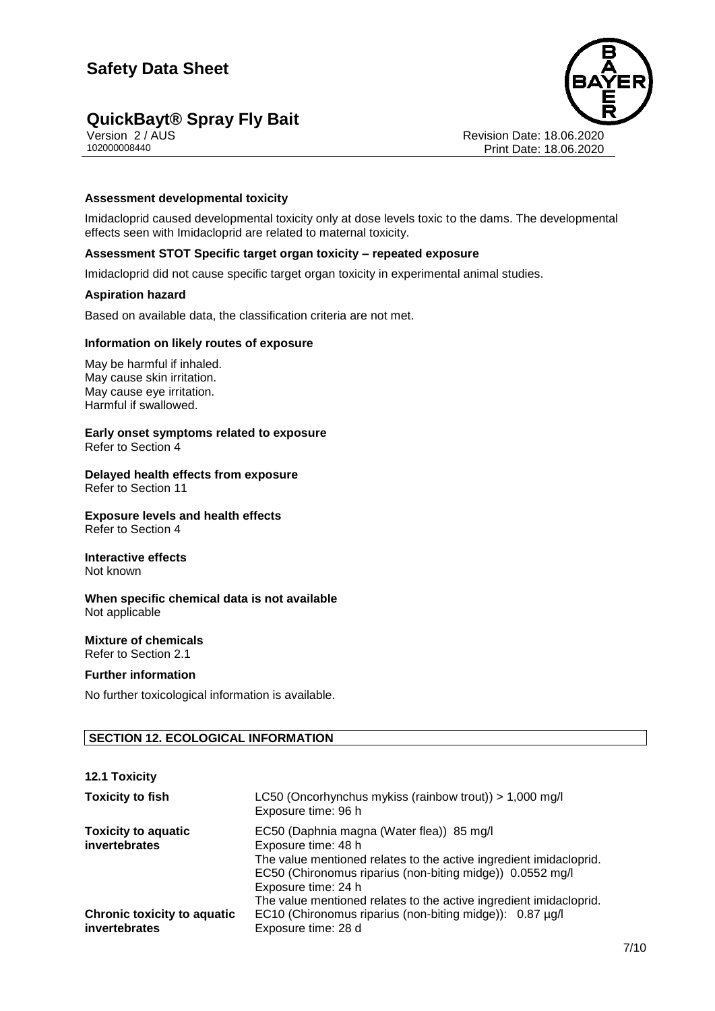## **QuickBayt® Spray Fly Bait 7/10**



Version 2 / AUS Revision Date: 18.06.2020 Print Date: 18.06.2020

#### **Assessment developmental toxicity**

Imidacloprid caused developmental toxicity only at dose levels toxic to the dams. The developmental effects seen with Imidacloprid are related to maternal toxicity.

#### **Assessment STOT Specific target organ toxicity – repeated exposure**

Imidacloprid did not cause specific target organ toxicity in experimental animal studies.

#### **Aspiration hazard**

Based on available data, the classification criteria are not met.

#### **Information on likely routes of exposure**

May be harmful if inhaled. May cause skin irritation. May cause eye irritation. Harmful if swallowed.

**Early onset symptoms related to exposure** Refer to Section 4

**Delayed health effects from exposure** Refer to Section 11

**Exposure levels and health effects** Refer to Section 4

**Interactive effects** Not known

**When specific chemical data is not available** Not applicable

#### **Mixture of chemicals** Refer to Section 2.1

#### **Further information**

No further toxicological information is available.

#### **SECTION 12. ECOLOGICAL INFORMATION**

#### **12.1 Toxicity**

| <b>Toxicity to fish</b>                             | LC50 (Oncorhynchus mykiss (rainbow trout)) > $1,000 \text{ mg/l}$<br>Exposure time: 96 h                                                                                                                                                                                                         |
|-----------------------------------------------------|--------------------------------------------------------------------------------------------------------------------------------------------------------------------------------------------------------------------------------------------------------------------------------------------------|
| <b>Toxicity to aquatic</b><br>invertebrates         | EC50 (Daphnia magna (Water flea)) 85 mg/l<br>Exposure time: 48 h<br>The value mentioned relates to the active ingredient imidacloprid.<br>EC50 (Chironomus riparius (non-biting midge)) 0.0552 mg/l<br>Exposure time: 24 h<br>The value mentioned relates to the active ingredient imidacloprid. |
| <b>Chronic toxicity to aquatic</b><br>invertebrates | EC10 (Chironomus riparius (non-biting midge)): 0.87 µg/l<br>Exposure time: 28 d                                                                                                                                                                                                                  |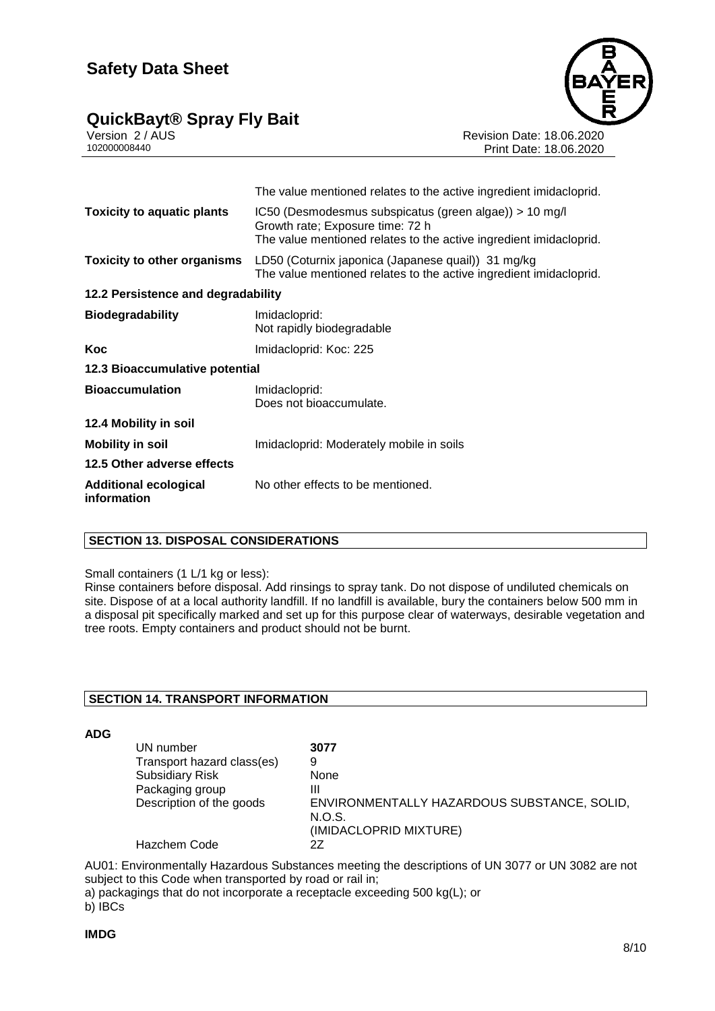### **QuickBayt® Spray Fly Bait 8/10**



Version 2 / AUS Revision Date: 18.06.2020

Print Date: 18.06.2020

|                                             | The value mentioned relates to the active ingredient imidacloprid.                                                                                               |  |
|---------------------------------------------|------------------------------------------------------------------------------------------------------------------------------------------------------------------|--|
| <b>Toxicity to aquatic plants</b>           | IC50 (Desmodesmus subspicatus (green algae)) > 10 mg/l<br>Growth rate; Exposure time: 72 h<br>The value mentioned relates to the active ingredient imidacloprid. |  |
| <b>Toxicity to other organisms</b>          | LD50 (Coturnix japonica (Japanese quail)) 31 mg/kg<br>The value mentioned relates to the active ingredient imidacloprid.                                         |  |
| 12.2 Persistence and degradability          |                                                                                                                                                                  |  |
| <b>Biodegradability</b>                     | Imidacloprid:<br>Not rapidly biodegradable                                                                                                                       |  |
| Koc                                         | Imidacloprid: Koc: 225                                                                                                                                           |  |
| 12.3 Bioaccumulative potential              |                                                                                                                                                                  |  |
| <b>Bioaccumulation</b>                      | Imidacloprid:<br>Does not bioaccumulate.                                                                                                                         |  |
| 12.4 Mobility in soil                       |                                                                                                                                                                  |  |
| <b>Mobility in soil</b>                     | Imidacloprid: Moderately mobile in soils                                                                                                                         |  |
| 12.5 Other adverse effects                  |                                                                                                                                                                  |  |
| <b>Additional ecological</b><br>information | No other effects to be mentioned.                                                                                                                                |  |

#### **SECTION 13. DISPOSAL CONSIDERATIONS**

#### Small containers (1 L/1 kg or less):

Rinse containers before disposal. Add rinsings to spray tank. Do not dispose of undiluted chemicals on site. Dispose of at a local authority landfill. If no landfill is available, bury the containers below 500 mm in a disposal pit specifically marked and set up for this purpose clear of waterways, desirable vegetation and tree roots. Empty containers and product should not be burnt.

#### **SECTION 14. TRANSPORT INFORMATION**

**ADG**

| UN number                  | 3077                                                  |
|----------------------------|-------------------------------------------------------|
| Transport hazard class(es) | 9                                                     |
| <b>Subsidiary Risk</b>     | None                                                  |
| Packaging group            | Ш                                                     |
| Description of the goods   | ENVIRONMENTALLY HAZARDOUS SUBSTANCE, SOLID,<br>N.O.S. |
|                            | (IMIDACLOPRID MIXTURE)                                |
| Hazchem Code               | 27                                                    |

AU01: Environmentally Hazardous Substances meeting the descriptions of UN 3077 or UN 3082 are not subject to this Code when transported by road or rail in;

a) packagings that do not incorporate a receptacle exceeding 500 kg(L); or

b) IBCs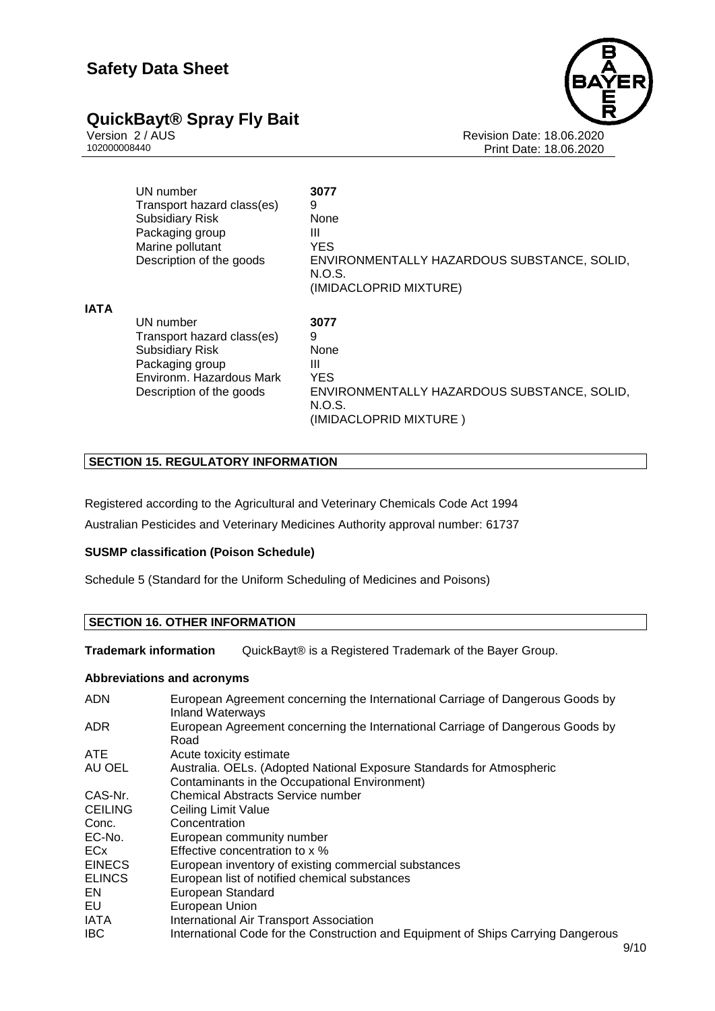

Version 2 / AUS Revision Date: 18.06.2020 Print Date: 18.06.2020

|             | UN number<br>Transport hazard class(es)<br><b>Subsidiary Risk</b><br>Packaging group                             | 3077<br>9<br><b>None</b><br>Ш                                                   |
|-------------|------------------------------------------------------------------------------------------------------------------|---------------------------------------------------------------------------------|
|             | Marine pollutant                                                                                                 | <b>YES</b>                                                                      |
|             | Description of the goods                                                                                         | ENVIRONMENTALLY HAZARDOUS SUBSTANCE, SOLID,<br>N.O.S.<br>(IMIDACLOPRID MIXTURE) |
| <b>IATA</b> |                                                                                                                  |                                                                                 |
|             | UN number<br>Transport hazard class(es)<br><b>Subsidiary Risk</b><br>Packaging group<br>Environm. Hazardous Mark | 3077<br>9<br>None<br>Ш<br><b>YES</b>                                            |
|             | Description of the goods                                                                                         | ENVIRONMENTALLY HAZARDOUS SUBSTANCE, SOLID,<br>N.O.S.<br>(IMIDACLOPRID MIXTURE) |

#### **SECTION 15. REGULATORY INFORMATION**

Registered according to the Agricultural and Veterinary Chemicals Code Act 1994 Australian Pesticides and Veterinary Medicines Authority approval number: 61737

#### **SUSMP classification (Poison Schedule)**

Schedule 5 (Standard for the Uniform Scheduling of Medicines and Poisons)

#### **SECTION 16. OTHER INFORMATION**

**Trademark information** QuickBayt® is a Registered Trademark of the Bayer Group.

#### **Abbreviations and acronyms**

| <b>ADN</b>     | European Agreement concerning the International Carriage of Dangerous Goods by<br><b>Inland Waterways</b> |
|----------------|-----------------------------------------------------------------------------------------------------------|
| ADR.           | European Agreement concerning the International Carriage of Dangerous Goods by<br>Road                    |
| <b>ATE</b>     | Acute toxicity estimate                                                                                   |
| AU OEL         | Australia. OELs. (Adopted National Exposure Standards for Atmospheric                                     |
|                | Contaminants in the Occupational Environment)                                                             |
| CAS-Nr.        | Chemical Abstracts Service number                                                                         |
| <b>CEILING</b> | Ceiling Limit Value                                                                                       |
| Conc.          | Concentration                                                                                             |
| EC-No.         | European community number                                                                                 |
| <b>ECx</b>     | Effective concentration to x %                                                                            |
| <b>EINECS</b>  | European inventory of existing commercial substances                                                      |
| <b>ELINCS</b>  | European list of notified chemical substances                                                             |
| EN.            | European Standard                                                                                         |
| EU             | European Union                                                                                            |
| <b>IATA</b>    | International Air Transport Association                                                                   |
| <b>IBC</b>     | International Code for the Construction and Equipment of Ships Carrying Dangerous                         |